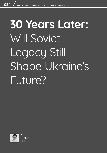# **30 Years Later:**  Will Soviet Legacy Still Shape Ukraine's Future?

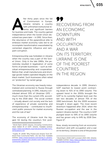**After thirty years since the fall of Communism in Europe, Ukraine remains a country with unfinished institutional reforms and significant barriers for business and trade. The country gained** of Communism in Europe, Ukraine remains a country with unfinished institutional reforms and significant barriers independence when the Soviet Union dissolved two years later – in 1991. Since then, the reluctance of the pyearolitical elite to embrace market economy rules led to an incomplete transformation exacerbated by cemented oligarchic influence and rampant corruption.

Entrepreneurship was forbidden in Ukraine when the country was a part of the Soviet Union. Only in the late 1980s, the perestroika resulted in legalization of some forms of private businesses – such as individual entrepreneurship and cooperatives. Before that, small manufactures and shortage goods traders operated illegally on the black market. Such businesses often relied on "protection" by racket gangs.

The Ukrainian economy was heavily industrialized and connected to Russia through centralized planning. In 1991, industry contributed almost 55% of Ukrainian GPD – much more than the current 23%, according to the 2018 data<sup>1</sup>. The social context – virtually absent civil society and the lack of experience of private ownership and entrepreneurship – contributed to insufficient public pressure for market economy and the rule of law2.

The economy of Ukraine took the biggest hit during the country's first post99 RECOVERING FROM AN ECONOMIC DOWNTURN AND WITH OCCUPATION AND A WAR ON ITS TERRITORY, UKRAINE IS ONE OF THE POOREST COUNTRIES IN THE REGION

independence decade. In 1999, Ukraine's GDP reached its lowest point contracting down to 41% of its 1990 volume. The upward trend in the 2000s brought the GDP to its currently highest level over the last two decades of almost 75% of the 1990 benchmark. But the 2009 recession brought it down again. The most recent downturn happened after 2014, when the Russian occupation and the war in the eastern Ukraine started. The country's GDP plunged down to 59% of its 1990 volume and has grown only to 64% by 2018 [See: Figure  $1<sup>3</sup>$ .

Now, slowly recovering from an economic downturn and with occupation and a war on its territory, Ukraine is one of the poorest

<sup>1</sup> World Bank (2019) *Industry (Including Construction), Value Added (% of GDP). Ukraine.* Available [online]: [https://data.worldbank.org/indicator/NV.IND.TOTL.](https://data.worldbank.org/indicator/NV.IND.TOTL.ZS?locations=UA) [ZS?locations=UA](https://data.worldbank.org/indicator/NV.IND.TOTL.ZS?locations=UA)

<sup>2</sup> Kupfer, M. (2018) "Why Poland and Ukraine Took Different Post-Communist Paths", [in]: *Kyiv Post*. Available [online]: [https://www.kyivpost.com/world-in-ukraine](https://www.kyivpost.com/world-in-ukraine-poland/why-poland-and-ukraine-took-different-post-communist-paths.html)[poland/why-poland-and-ukraine-took-different-post](https://www.kyivpost.com/world-in-ukraine-poland/why-poland-and-ukraine-took-different-post-communist-paths.html)[communist-paths.html](https://www.kyivpost.com/world-in-ukraine-poland/why-poland-and-ukraine-took-different-post-communist-paths.html)

<sup>3</sup> World Bank (2019) *GDP (constant 2010 US\$). Ukraine.*  Available [online]: [https://data.worldbank.org/indicator/](https://data.worldbank.org/indicator/NY.GDP.MKTP.KD?locations=UA) [NY.GDP.MKTP.KD?locations=UA](https://data.worldbank.org/indicator/NY.GDP.MKTP.KD?locations=UA)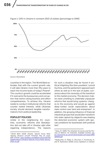

Figure 1: GPD in Ukraine in constant 2010 US dollars [percentage to 1990]

countries in the region. The World Bank estimates that with the current growth rate, it will take Ukraine more than fifty years to reach the income levels of today's Poland<sup>4</sup>. The country's growth could be accelerated if it overcame the bureaucracy and corruption that restrict doing business and affect competitiveness. To achieve this, Ukraine needs to conduct institutional reforms that counter vested interests, while Ukrainian society should demand tangible transformations from political leadership.

#### POPULIST POLICIES

Unlike in the neighboring EU countries, economic reforms and liberalization did not take off in Ukraine right after regaining independence.. The reasons

for such a situation may be found in political infighting (the then president, Leonid Kuchma, and the parliament opposed each other) as well as in the lack of public consensus about the necessity of the transition to the market economy. The decision makers were unwilling to undertake unpopular reforms that would bring systemic changes to the economy and would go against deep-rooted social expectations about state control over land and enterprises<sup>5</sup>. In addition, the growing influence of financial industrial groups that would later transform into state capture by oligarchs was shaping the distorted economic system with special conditions for businesses with political ties<sup>6</sup>.

Source: World Bank

<sup>4</sup> World Bank (2019) *Ukraine. Special Focus Note. Tapping Ukraine's Growth Potential*, May 23. Available [online]: [http://pubdocs.worldbank.org/en/927141](http://pubdocs.worldbank.org/en/927141 558601581077/Ukraine-Special-Focus-Note-Spring-2019-en.pdf) [558601581077/Ukraine-Special-Focus-Note-Spring-](http://pubdocs.worldbank.org/en/927141 558601581077/Ukraine-Special-Focus-Note-Spring-2019-en.pdf)[2019-en.pdf](http://pubdocs.worldbank.org/en/927141 558601581077/Ukraine-Special-Focus-Note-Spring-2019-en.pdf)

<sup>5</sup> Ishaq, M. (1996) *The Ukrainian Economy and the Pro*cess of Reform: An Overview. Available [online]: [htt](https://www2.hw.ac.uk/sml/downloads/cert/wpa/1996/dp9616.pdf)[ps://www2.hw.ac.uk/sml/downloads/cert/wpa/1996/](https://www2.hw.ac.uk/sml/downloads/cert/wpa/1996/dp9616.pdf) [dp9616.pdf](https://www2.hw.ac.uk/sml/downloads/cert/wpa/1996/dp9616.pdf)

<sup>6</sup> Balabushko, O., Betliy, O., Movchan, V., Piontkivsky, R., and M. Ryzhenkov (2018) *Crony Capitalism in Ukraine.*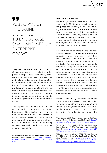037 IRYNA FEDETS

# 99 PUBLIC POLICY IN UKRAINE DID LITTLE TO ENCOURAGE SMALL AND MEDIUM ENTERPRISE GROWTH

The government subsidized certain sectors at taxpayers' expense – including underpriced energy. These were mainly traditional industries that relied on cheap raw materials and, due to global conjuncture, did not require diversification and modernization. With favorable conditions for these products on foreign markets and the fact that the enterprises in these sectors were owned by financial groups with political influence, public policy in Ukraine did little to encourage small and medium enterprise growth.

The populist policies went hand in hand with restrictions and discretion towards businesses. Complicated and limiting regulations did not allow businesses to grow, operate freely, and enter foreign markets, while unequal treatment of businesses of different sectors or ownership cultivated corruption and gave rise to an oligarchic economy.

#### PRICE REGULATIONS

Ukrainian government reacted to high inflation in the 1990s by "manually" regulating prices and salaries, instead of ensuring the central bank's independence and sound monetary policy<sup>7</sup>. Prices for certain commodities – coal, oil, electric energy and heating, transport services, and others – were capped, followed by price limits on some types of bread, fruit, and vegetables, as well as gas and running water.

Forced to pay much more for gas and coal than households, businesses financed the subsidized domestic prices. In mid-1990s, the Ukrainian government eliminated markup restrictions on a wide range of products. Yet, gas prices for households remained heavily subsidized, which created opportunities for arbitrage – a corruption scheme where regional gas distribution companies resell the low-priced gas that was allocated for households to industrial consumers for higher prices<sup>8</sup>. In addition, Ukraine's reliance on relatively cheaper Russian gas gave Russia political leverage over Ukraine, and did not encourage enterprises and households to increase their energy efficiency.

Ukraine substantially increased gas prices for private consumers only in 2018 in order to meet the conditions of the International Monetary Fund (IMF) under the new Stand-By Agreement<sup>9</sup>. However, unlike liberalized prices for industrial consumers, the

*Relationship between Political Connectedness and Firms' Performance*. Available [online]: [http://documents.world](http://documents.world bank.org/curated/en/494271528822739302/pdf/WPS 8471.pdf) [bank.org/curated/en/494271528822739302/pdf/WPS](http://documents.world bank.org/curated/en/494271528822739302/pdf/WPS 8471.pdf) [8471.pdf](http://documents.world bank.org/curated/en/494271528822739302/pdf/WPS 8471.pdf)

<sup>7</sup> Vox Ukraine (2016) *Bad Decisions: How to Build the*  Poorest Country in Europe. Available [online]: [https://](https://voxukraine.org/longreads/poor-country/index_en.html) [voxukraine.org/longreads/poor-country/index\\_en.html](https://voxukraine.org/longreads/poor-country/index_en.html)

<sup>&</sup>lt;sup>8</sup> Saha, S. and I. Zaslavskiy (2019) "Cleaning Up Ukraine's Energy Sector", [in]: *The American Interest*. Available [online]: [https://www.the-american-interest.com/2019/](https://www.the-american-interest.com/2019/ 01/31/cleaning-up-ukraines-energy-sector/) [01/31/cleaning-up-ukraines-energy-sector/](https://www.the-american-interest.com/2019/ 01/31/cleaning-up-ukraines-energy-sector/)

<sup>&</sup>lt;sup>9</sup> Zinets, N. and M. Williams, (2018) "Ukraine Secures New \$3.9 Billion IMF Deal after Gas Price Hike", [in]: *Re*uters. Available [online]: [https://www.reuters.com/arti](https://www.reuters.com/article/us-ukraine-imf-gas/ukraine-secures-new-3-9-billion-imf-deal-after-gas-price-hike-idUSKCN1MT2J6)[cle/us-ukraine-imf-gas/ukraine-secures-new-3-9-bil](https://www.reuters.com/article/us-ukraine-imf-gas/ukraine-secures-new-3-9-billion-imf-deal-after-gas-price-hike-idUSKCN1MT2J6)[lion-imf-deal-after-gas-price-hike-idUSKCN1MT2J6](https://www.reuters.com/article/us-ukraine-imf-gas/ukraine-secures-new-3-9-billion-imf-deal-after-gas-price-hike-idUSKCN1MT2J6)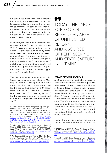household gas prices still have not reached import parity and are regulated by the public service obligations adopted by Ukrainian government that set a price cap for the household price. Should the market gas prices rise above the maximum price for households in Ukraine, this again will give room for illicit trading.

In addition, the government of Ukraine had regulated prices for food products since 1996. A maximum trade margin was set for a range of products, such as flour, bread, sugar, beef, milk, cheese, and sour cream, among others. The government also required businesses to declare changes in their wholesale prices for specific sorts of milk, butter, meat, and other products, and determined upper profit margins for production of flour, "socially important" types of bread<sup>10</sup> and baby food.

This policy restricted businesses and distorted market competition. Ukraine's Ministry of Economic Development and Trade found that the prices for state-regulated food products had grown by 20% faster from 2003 to 2013 than other, unregulated, products $11$ . This state regulation of food prices was temporarily discontinued in 2016 and completely abandoned only in 201712.

99 TODAY, THE LARGE SOE SECTOR REMAINS AN AREA OF UNFINISHED REFORM AND A SOURCE OF RENT-SEEKING AND STATE CAPTURE IN UKRAINE.

#### PRIVATIZATION PROBLEMS

Another instance of restricted access to capital and limitation of property rights was privatization through assets certificates setting privileges for specific social groups: managers and employees of the enterprises. They had a primary right to buy out shares<sup>13</sup>. Meanwhile, owners of the privatization certificates could not sell them for cash. Therefore, potential investors were not permitted to buy certificates from citizens on the secondary market<sup>14</sup>. As a result, the control over previously state-owned enterprises (SOEs) was mostly transferred to their managers.

Today, the large SOE sector remains an area of unfinished reform and a source of

<sup>10</sup> Several sorts of bread designated by the government. For details see: *Resolution of the Cabinet of Ministers of Ukraine #1548 of December 25, 1996 On Establishing the Powers of Executive Bodies and of City Councils' Executive Bodies to Regulate Prices (Tariffs)*. Available [online]: [https://zakon.](https://zakon.rada.gov.ua/laws/show/1548-96-%D0%BF/ed2017 0617 (the version of June 17, 2017 before the cancellation of price controls) [in Ukrainian]) [rada.gov.ua/laws/show/1548-96-%D0%BF/ed2017](https://zakon.rada.gov.ua/laws/show/1548-96-%D0%BF/ed2017 0617 (the version of June 17, 2017 before the cancellation of price controls) [in Ukrainian]) [0617 \(the version of June 17, 2017 before the cancella](https://zakon.rada.gov.ua/laws/show/1548-96-%D0%BF/ed2017 0617 (the version of June 17, 2017 before the cancellation of price controls) [in Ukrainian])[tion of price controls\) \[in Ukrainian\]](https://zakon.rada.gov.ua/laws/show/1548-96-%D0%BF/ed2017 0617 (the version of June 17, 2017 before the cancellation of price controls) [in Ukrainian])

<sup>&</sup>lt;sup>11</sup> Ministry of Economic Development and Trade of Ukraine (2016) *Debureaucratization of Regulation of Food Prices (Amendments to CMU Resolution #1548)*. Available [online]: [https://issuu.com/mineconomdev/](https://issuu.com/mineconomdev/docs/1548_update [in Ukrainian]) [docs/1548\\_update \[in Ukrainian\]](https://issuu.com/mineconomdev/docs/1548_update [in Ukrainian])

<sup>12</sup> The Cabinet of Ministers of Ukraine (2017) *The Government Abolished State Regulation of Prices For Food and Services in The Markets.* Available [online]: [https://](https://www.kmu.gov.ua/ua/news/250054696 [in Ukrainian]) [www.kmu.gov.ua/ua/news/250054696 \[in Ukrainian\]](https://www.kmu.gov.ua/ua/news/250054696 [in Ukrainian])

<sup>13</sup> CASE Ukraine (2007) *Conditions for Finishing Privati*zation in Ukraine. Available [online]: [http://c-e-d.info/](http://c-e-d.info/img/pdf/111_Russian_Full_With_Cover.pdf [in Ukrainian]) [img/pdf/111\\_Russian\\_Full\\_With\\_Cover.pdf \[in Ukrain](http://c-e-d.info/img/pdf/111_Russian_Full_With_Cover.pdf [in Ukrainian])[ian\]](http://c-e-d.info/img/pdf/111_Russian_Full_With_Cover.pdf [in Ukrainian])

<sup>14</sup> Vox Ukraine (2016) *Bad Decisions: How to Build the Poorest Country in Europe.* Available [online]: [https://](https://voxukraine.org/longreads/poor-country/index_en.html) [voxukraine.org/longreads/poor-country/index\\_en.html](https://voxukraine.org/longreads/poor-country/index_en.html)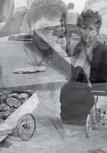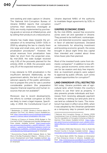rent-seeking and state capture in Ukraine. The National Anti-Corruption Bureau of Ukraine (NABU) reports that corruption schemes their detectives investigate at SOEs are mostly implemented by purchasing goods or services at inflated prices, and by selling their products at a reduced price.

Ukraine has made steps towards the privatization of its remaining 3,000+ SOEs in 2018 by adopting the law to classify them into large and small ones, and to set clear privatization procedures<sup>15</sup>. However, the actual revenues from privatization have fallen far short from the projected ones. By mid-2019, the state budget received only 1.6% of the proceeds planned for the entirety 2019; in 2018, the proceeds were only 2% of the expected revenues<sup>16</sup>.

A key obstacle to SOE privatization is the insufficient demand. Additionally, as the government admits, the lack of an organizational capacity of the public administration to prepare the units for sale is another considerable problem (the preparation requires financial expertise and human resources that are not available)<sup>17</sup>.

Moreover, due to recent developments, the efforts to combat corruption at SOEs are likely to meet a legal impasse. Specifically, in 2019, the Constitutional Court of Ukraine deprived NABU of the authority to invalidate illegal agreements by SOEs in  $C$ ourt $18$ 

#### (UN)FREE ECONOMIC ZONES

By the mid-2000s, several free economic zones were set and operated in Ukraine. They proved to be inefficient, nontransparent, and distorted economic opportunities in favor of selected businesses. Declared as instruments for attracting investment and boosting economic growth, the zones brought in about eight times less capital than intended and created about three times fewer jobs than planned.

Most of the invested funds came from domestic companies<sup>19</sup>. In addition to low efficiency, special economic zones were venues for tax evasion and duty free imports. And, as investment projects were subject to approval by public officials, such zones created opportunities for corruption<sup>20</sup>.

#### LAND OWNERSHIP: STILL RESTRICTED

Still today, Ukraine prohibits sale of agricultural land, which hinders the country's citizens to use their land as property. It also prevents private individuals and businesses from receiving adequate payment for selling or renting out land plots and to use land as collateral for loans. The moratorium has been in effect since 2001, when it was adopted by the Ukrainian parliament as a temporary step to prevent land sales

<sup>15</sup> Bedratenko, O. (2018) "Ukraine Is Serious about Privatization This Time", [in]: *Atlantic Council*. Available [online]: [https://www.atlanticcouncil.org/blogs/ukrainealert/](https://www.atlanticcouncil.org/blogs/ukrainealert/ukraine-is-serious-about-privatization-this-time) [ukraine-is-serious-about-privatization-this-time](https://www.atlanticcouncil.org/blogs/ukrainealert/ukraine-is-serious-about-privatization-this-time)

<sup>16</sup> Ministry of Finance of Ukraine (2019) *Budget in The First Half of 2019: Challenges and Liquidity Management.*  Press release. Available [online]: [https://www.minfin.](https://www.minfin.gov.ua/news/view/biudzhet-v-pershii-polovyni--roku-vyklyky-i-upravlinnia-likvidnistiu?category=novini-ta-media&fbclid=IwAR0l3b_LUHhEtW-2oyHOwNyBoa3uciLPsOBvG9CtttuY320niqOh43x1Jx8) [gov.ua/news/view/biudzhet-v-pershii-polovyni--roku](https://www.minfin.gov.ua/news/view/biudzhet-v-pershii-polovyni--roku-vyklyky-i-upravlinnia-likvidnistiu?category=novini-ta-media&fbclid=IwAR0l3b_LUHhEtW-2oyHOwNyBoa3uciLPsOBvG9CtttuY320niqOh43x1Jx8)[vyklyky-i-upravlinnia-likvidnistiu?category=novini-ta](https://www.minfin.gov.ua/news/view/biudzhet-v-pershii-polovyni--roku-vyklyky-i-upravlinnia-likvidnistiu?category=novini-ta-media&fbclid=IwAR0l3b_LUHhEtW-2oyHOwNyBoa3uciLPsOBvG9CtttuY320niqOh43x1Jx8)[media&fbclid=IwAR0l3b\\_LUHhEtW-2oyHOwNyBoa3u](https://www.minfin.gov.ua/news/view/biudzhet-v-pershii-polovyni--roku-vyklyky-i-upravlinnia-likvidnistiu?category=novini-ta-media&fbclid=IwAR0l3b_LUHhEtW-2oyHOwNyBoa3uciLPsOBvG9CtttuY320niqOh43x1Jx8)[ciLPsOBvG9CtttuY320niqOh43x1Jx8](https://www.minfin.gov.ua/news/view/biudzhet-v-pershii-polovyni--roku-vyklyky-i-upravlinnia-likvidnistiu?category=novini-ta-media&fbclid=IwAR0l3b_LUHhEtW-2oyHOwNyBoa3uciLPsOBvG9CtttuY320niqOh43x1Jx8) [in Ukrainian]

<sup>17</sup> Ekonomichna Pravda (2019) *Nobody Wants to Take Most of the Big Privatization Objects – Ministry of Economic Development and Trade. Available [online]: [htt](https://www.epravda.com.ua/news/2019/01/27/644698/)*[ps://www.epravda.com.ua/news/2019/01/27/644698/](https://www.epravda.com.ua/news/2019/01/27/644698/) [in Ukrainian]

<sup>18</sup> National Anti-Corruption Bureau of Ukraine (2019) *Constitutional Court of Ukraine Eliminated an Effective Tool for Liquidation of Corruption Schemes at State Enterprises.* Press release. Available [online]: [https://nabu.](https://nabu.gov.ua/en/novyny/constitutional-court-ukraine-eliminated-effective-tool-liquidation-corruption-schemes-state) [gov.ua/en/novyny/constitutional-court-ukraine-elimi](https://nabu.gov.ua/en/novyny/constitutional-court-ukraine-eliminated-effective-tool-liquidation-corruption-schemes-state)[nated-effective-tool-liquidation-corruption-schemes](https://nabu.gov.ua/en/novyny/constitutional-court-ukraine-eliminated-effective-tool-liquidation-corruption-schemes-state)[state](https://nabu.gov.ua/en/novyny/constitutional-court-ukraine-eliminated-effective-tool-liquidation-corruption-schemes-state)

<sup>19</sup> Vox Ukraine (2016) *Bad Decisions: How to Build the*  Poorest Country in Europe. Available [online]: [https://](https://voxukraine.org/longreads/poor-country/index_en.html) [voxukraine.org/longreads/poor-country/index\\_en.html](https://voxukraine.org/longreads/poor-country/index_en.html)

<sup>20</sup> The World Bank (2005) *The Debate on Elimination of Free Enterprise Zones in Ukraine.* Available [online]: [http://siteresources.worldbank.org/INTUKRAI](http://siteresources.worldbank.org/INTUKRAINE/147271-1089983407712/20757196/FreezonesEng.pdf) [NE/147271-1089983407712/20757196/FreezonesEng.pdf](http://siteresources.worldbank.org/INTUKRAINE/147271-1089983407712/20757196/FreezonesEng.pdf)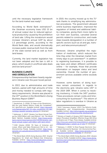until the necessary legislative framework for the land market was ready<sup>21</sup>.

According to World Bank estimations<sup>22</sup>, the Ukrainian economy loses USD 15 bn of annual output due to reduced agricultural productivity caused by the prohibition of land sale. Lifting the moratorium would increase Ukraine's annual GDP by about 1.5 percentage points, according to the World Bank data, and would dramatically increase public revenue both from the sale of the state-owned land as well as from land leases.

Currently, the land market legislation has not been adopted and the ban is still in place, which results in unofficial sales deals and low land prices $23$ .

## BUSINESS CLIMATE AND DEREGULATION

Entrepreneurship had been heavily regulated in Ukraine over the post-Soviet period.

In 2013, due to administrative and trade barriers, paired with high amounts of time and money needed to comply with regulatory requirements, Ukraine was placed in the 137th position in the World Bank's *Doing Business Report* (DBR)<sup>24</sup>.

In 2019, the country moved up to the 71<sup>st</sup> rank thanks to simplifying key administrative procedures. The government allowed online business registration, improved the regulation of limited and additional liability companies, giving them more rights to run their own business, canceled several permits related to construction, and made steps towards deregulation in a number of specific sectors (such as oil and gas, transport, and telecommunications)<sup>25</sup>.

Moreover, Ukraine simplified the registration of medicines, which reduced the time they enter the Ukrainian market from ninety days to just seventeen<sup>26</sup>. In addition to registering businesses, it is possible to pay taxes and obtain different certificates online – for example, those that provide information on taxpayer status and land ownership. Overall, the number of government services available online exceeds sixty<sup>27</sup>.

However, some barriers of doing business remain unresolved. In regards to the electricity grid, Ukraine ranks 135<sup>th</sup> in the 2019 DBR. When it comes to resolving insolvency, it holds the  $145<sup>th</sup>$  position. These procedures remain costly and timeconsuming for businesses<sup>28</sup>. The reform of labor regulations is overdue in Ukraine as

 $21$  Yaroshchuk, O. (2016) "15 Years of the Moratorium -Will the Land Market Reform Finally Be Completed?", [in]: AgroPolit.com. Available [online]: [https://agropolit.](https://agropolit.com/spetsproekty/167-15-rokiv-moratoriyu-chi-zakinchitsya-nareshti-zemelna-reforma) [com/spetsproekty/167-15-rokiv-moratoriyu-chi-zak](https://agropolit.com/spetsproekty/167-15-rokiv-moratoriyu-chi-zakinchitsya-nareshti-zemelna-reforma)[inchitsya-nareshti-zemelna-reforma](https://agropolit.com/spetsproekty/167-15-rokiv-moratoriyu-chi-zakinchitsya-nareshti-zemelna-reforma) [in Ukrainian]

<sup>22</sup> Kahkonen, S. (2017) "Ukraine Can Boost Annual Output by US\$15 Billion with Land Reform", [in]: *The World Bank. Opinion*. Available [online]: [https://www.world](https://www.worldbank.org/en/news/opinion/2017/10/02/ukraine-can-boost-annual-output-us15-billion-with-land-reform)[bank.org/en/news/opinion/2017/10/02/ukraine-can](https://www.worldbank.org/en/news/opinion/2017/10/02/ukraine-can-boost-annual-output-us15-billion-with-land-reform)[boost-annual-output-us15-billion-with-land-reform](https://www.worldbank.org/en/news/opinion/2017/10/02/ukraine-can-boost-annual-output-us15-billion-with-land-reform)

<sup>23</sup> CASE Ukraine (2016) "25 Years of Schemes and Losses. What Land Sales Moratorium Did to Us", [in]: *Ekonomichna Pravda.* Available [online]: [https://www.](https://www.epravda.com.ua/publications/2016/07/13/598945/) [epravda.com.ua/publications/2016/07/13/598945/](https://www.epravda.com.ua/publications/2016/07/13/598945/) [in **Ukrainianl** 

<sup>24</sup> The World Bank (2013) *Doing Business 2013. Smarter Regulations for Small and Medium-Size Enterprises.* Available [online]: [https://www.doingbusiness.org/en/](https://www.doingbusiness.org/en/reports/global-reports/doing-business-2013) [reports/global-reports/doing-business-2013](https://www.doingbusiness.org/en/reports/global-reports/doing-business-2013)

<sup>25</sup> NGO "Internews-Ukraine" (2017) *The Reforms Guide. Deregulation and Entrepreneurship Development.*  Available [online]: [http://reformsguide.org.ua/analytics/](http://reformsguide.org.ua/analytics/deregulation-and-entrepreneurship-development/) [deregulation-and-entrepreneurship-development/](http://reformsguide.org.ua/analytics/deregulation-and-entrepreneurship-development/)

<sup>26</sup> Ministry of Health of Ukraine (2017) *Medicines Registration Procedure Simplified: Effective Drugs Will Arrive to Ukraine over 17 Days*. Press release. Available [online]: [http://moz.gov.ua/article/news/efektivni-preparati](http://moz.gov.ua/article/news/efektivni-preparati-z%60javljatimutsja-v-ukraini-za-17-dniv)[z%60javljatimutsja-v-ukraini-za-17-dniv](http://moz.gov.ua/article/news/efektivni-preparati-z%60javljatimutsja-v-ukraini-za-17-dniv) [in Ukrainian]

<sup>27</sup> Nekrasov, V. (2019) "11 Most Popular Electronic Government Services for Business", [in]: *Ekonomichna Pravda*. Available [online]: [https://www.epravda.com.ua/](https://www.epravda.com.ua/publications/2019/06/26/649088/) [publications/2019/06/26/649088/](https://www.epravda.com.ua/publications/2019/06/26/649088/) [in Ukrainian]

<sup>28</sup> The World Bank (2019) *Doing Business 2019. Ukraine Economy Profile.* Available [online]: [https://www.doing](https://www.doingbusiness.org/content/dam/doingBusiness/country/u/ukraine/UKR.pdf)[business.org/content/dam/doingBusiness/country/u/](https://www.doingbusiness.org/content/dam/doingBusiness/country/u/ukraine/UKR.pdf) [ukraine/UKR.pdf](https://www.doingbusiness.org/content/dam/doingBusiness/country/u/ukraine/UKR.pdf)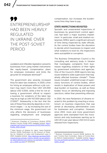99 ENTREPRENEURSHIP HAD BEEN HEAVILY REGULATED IN UKRAINE OVER THE POST-SOVIET PERIOD

outdated and inflexible legislation prevents businesses from using market instruments like equity-based compensation plans for employee motivation and limits the grounds for employee dismissal<sup>29</sup>.

The government also severely increased fines for labor law violations. In 2019, a fine for hiring an employee without a job contract may reach more than UAH 125,000 (about USD 5,000), while a fine for not allowing a government official to inspect a business for violations of the labor law may be as high as UAH 417,000 (about USD 17,000)<sup>30</sup>. Noteworthy is the fact that the size of these fines directly depends on minimum wages – i.e. by increasing the size of the minimum wage, the government not only affects the decisions of businesses regarding employment and employee

compensation, but increases the burdensome fines they have to pay.

#### STATE INSPECTIONS REVISITED

Sporadic and unwarranted inspections of businesses by government control agencies had been a major business impediment. In particular, small and medium enterprises (SMEs) spent a significant amount of time being inspected by state officials. As the control bodies have the discretion to decide which businesses to inspect and what violations to look for, the inspections were susceptible to corruption.

The Business Ombudsman Council is the consulting and advisory body in Ukraine that investigates complaints from businesses regarding violations of their rights by government institutions and agencies. One of the Council's 2018 reports lists key issues related to state supervision that negatively affected business climate<sup>31</sup>. These issues included: undefined scope of supervisory functions of control bodies, which results in duplication of these powers and dual burden on business, as well as these bodies' focus on identifying and imposing sanctions, rather than preventing offences.

In 2014, the new Parliament of Ukraine reacted to this problem by enacting a moratorium on business inspections that was aimed at decreasing administrative costs for businesses and corruption. However, since 2015, more and more government agencies were exempted from the moratorium and only businesses earning up to UAH 20 m per year (about USD 0.8 m) were relieved from inspections.

<sup>29</sup> American Chamber of Commerce Ukraine (2019) U*kraine Country Profile 2019.* Available [online]: [http://](http://chamber.ua/Content/Documents/1247607269Country_Profile_2019_EN.pdf) [chamber.ua/Content/Documents/1247607269Country\\_](http://chamber.ua/Content/Documents/1247607269Country_Profile_2019_EN.pdf) [Profile\\_2019\\_EN.pdf](http://chamber.ua/Content/Documents/1247607269Country_Profile_2019_EN.pdf)

<sup>30</sup> State Service of Ukraine for Labor: Ivano-Frankivsk Division (2019) *Clarification on the Amount of Penalties for Violations of Labor and Employment Laws in 2019.* Available [online]: [http://dspif.gov.ua/news/3163](http://dspif.gov.ua/news/3163-rozyasnennya-schodo-rozmru-shtrafv-za-porushennya-zakonodavstva-pro-pracyu-ta-zaynyatst-naselennya-u-2019-roc.html) [rozyasnennya-schodo-rozmru-shtrafv-za-porushenn](http://dspif.gov.ua/news/3163-rozyasnennya-schodo-rozmru-shtrafv-za-porushennya-zakonodavstva-pro-pracyu-ta-zaynyatst-naselennya-u-2019-roc.html)[ya-zakonodavstva-pro-pracyu-ta-zaynyatst-naselenn](http://dspif.gov.ua/news/3163-rozyasnennya-schodo-rozmru-shtrafv-za-porushennya-zakonodavstva-pro-pracyu-ta-zaynyatst-naselennya-u-2019-roc.html)[ya-u-2019-roc.html](http://dspif.gov.ua/news/3163-rozyasnennya-schodo-rozmru-shtrafv-za-porushennya-zakonodavstva-pro-pracyu-ta-zaynyatst-naselennya-u-2019-roc.html) [in Ukrainian]

<sup>31</sup> Business Ombudsman Council (2018) *Systemic Report "Control Over Controllers: Status of Control Bodies Reform Implementation"*. Available [online]: [https://](https://boi.org.ua/media/uploads/system_jan2018/4_2017_sytem_en.pdf) [boi.org.ua/media/uploads/system\\_jan2018/4\\_2017\\_](https://boi.org.ua/media/uploads/system_jan2018/4_2017_sytem_en.pdf) [sytem\\_en.pdf](https://boi.org.ua/media/uploads/system_jan2018/4_2017_sytem_en.pdf)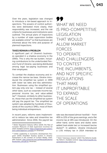Over the years, legislation was changed to introduce a risk-based approach to inspections. The powers of control authorities were delineated more clearly, their responsibility was increased, and the risk criteria for businesses and institutions were outlined. The annual plans of inspections by a number of state supervision bodies are available online<sup>32</sup> so that businesses are informed about the time and purpose of planned inspections.

#### TAXES REMAIN A PROBLEM

A significant part of Ukraine's businesses operated in a shadow economy in the 1990s. This is why the tax burden, including contributions to the underfunded Pension Fund of Ukraine, was being distributed among legal tax-paying businesses and their employees.

To combat the shadow economy and increase the narrow tax base, Ukraine introduced the simplified tax system in 1999 with lower tax rates and less administration. Businesses using the simplified system pay only one tax – instead of several other taxes, such as corporate income tax, personal income tax, and value-added tax<sup>33</sup>. However, similarly to other businesses, those that use the simplified tax system still pay the payroll tax. The simplified tax system was adopted by hundreds of thousands of the country's SMEs, most of them being individual entrepreneurs.

In recent years, reforms were implemented to reduce tax rates and streamline tax administration. Since 2016, the payroll tax

99 WHAT WE NEED IS PRO-COMPETITIVE LEGISLATION THAT WOULD ALLOW MARKET FORCES TO OPERATE AND CHALL FNGFRS TO CONTEST THE INCUMBENTS, AND NOT SPECIFIC REGULATIONS THAT MAKE IT UNPROFITABLE TO EXPAND THE SCALE OF OPERATIONS

rate was decreased almost twofold – from 40% to 22% of the gross earnings, and a flat income tax at 18% was introduced. On the other hand, some taxes and duties were added (real estate tax) or increased (excise duties)34. In addition, Ukraine introduced a 1.5% military tax in 2014 intended to

<sup>32</sup> Better Regulation Delivery Office (2019) *The Plan of Complex Measures of State Supervision (Control) for 2019.* Available [online]: [https://inspections.gov.ua/pro](https://inspections.gov.ua/projects-plans/approve-complex)[jects-plans/approve-complex](https://inspections.gov.ua/projects-plans/approve-complex) [in Ukrainian]

<sup>33</sup> USAID Leadership in Economic Development Program (2105) *Simplified Taxation System in Ukraine: Assessment in the Context of Current Reality.* Available [online]: [http://www.ier.com.ua/files/publications/](http://www.ier.com.ua/files/publications/Books/SSO_IER.pdf [in) [Books/SSO\\_IER.pdf \[in](http://www.ier.com.ua/files/publications/Books/SSO_IER.pdf [in) Ukrainian]

<sup>34</sup> NGO "Internews-Ukraine" (2017) *The Reforms Guide. Tax Reform.* Available [online]: [http://reformsguide.org.](http://reformsguide.org.ua/analytics/tax-reform-2/) [ua/analytics/tax-reform-2/](http://reformsguide.org.ua/analytics/tax-reform-2/)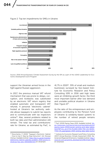

#### Figure 2: Top ten impediments for SMEs in Ukraine

Source: 2016 Annual Business Climate Assessment Survey by the IER as a part of the USAID Leadership for Economic Development (LEV) Program

support the Ukrainian armed forces in the fight against Russian aggression.

In 2017, the previous manual VAT refund mechanism that was prone to delays, corruption, and kickbacks was substituted by an electronic VAT return registry that enabled automatic and transparent VAT refunds. A personal "electronic cabinet" hosted at Ukraine's tax authority website allows taxpayers to submit tax reports and to communicate with tax inspectors online35. Alas, several problems related to both tax rates and their administration still remain. The total tax and contributions' rate for Ukraine, as estimated by PwC, is

41.7% in 201936. 35% of small and medium businesses surveyed by Kyiv-based Institute for Economic Research and Policy Consulting (IER) in 2016 said high taxes were an inhibiting-growth factor, the third most important barrier after low demand and unstable political situation in Ukraine [See: Figure  $2]^{37}$ .

As the ratio of the entrepreneurs and employees contributing to the Pension Fund of Ukraine (a solidarity-based system) to the number of retired people remains

<sup>35</sup> Shevchenko, P. (2019) "Taxpayer's Electronic Cabinet – How to Use It. Step-by-Step Instruction", [in]: *Novoye Vremya*. Available [online]: [https://biz.nv.ua/ukr/markets/](https://biz.nv.ua/ukr/markets/elektronniy-kabinet-platnika-podatkiv-2019-povna-instrukciya-fop-yesv-50031566.html) [elektronniy-kabinet-platnika-podatkiv-2019-povna-in](https://biz.nv.ua/ukr/markets/elektronniy-kabinet-platnika-podatkiv-2019-povna-instrukciya-fop-yesv-50031566.html)[strukciya-fop-yesv-50031566.html](https://biz.nv.ua/ukr/markets/elektronniy-kabinet-platnika-podatkiv-2019-povna-instrukciya-fop-yesv-50031566.html) [in Ukrainian]

<sup>36</sup> PwC (2019) P*aying Taxes 2019*. Available [online]: [htt](https://www.pwc.com/gx/en/services/tax/publications/paying-taxes-2019/overall-ranking-and-data-tables.html?WT.mc_id=CT13-PL1300-DM2-TR2-LS1-ND30-TTA4-CN_payingtaxes-2019-ranking-data-table-button)[ps://www.pwc.com/gx/en/services/tax/publications/](https://www.pwc.com/gx/en/services/tax/publications/paying-taxes-2019/overall-ranking-and-data-tables.html?WT.mc_id=CT13-PL1300-DM2-TR2-LS1-ND30-TTA4-CN_payingtaxes-2019-ranking-data-table-button) [paying-taxes-2019/overall-ranking-and-data-tables.](https://www.pwc.com/gx/en/services/tax/publications/paying-taxes-2019/overall-ranking-and-data-tables.html?WT.mc_id=CT13-PL1300-DM2-TR2-LS1-ND30-TTA4-CN_payingtaxes-2019-ranking-data-table-button) [html?WT.mc\\_id=CT13-PL1300-DM2-TR2-LS1-ND30-](https://www.pwc.com/gx/en/services/tax/publications/paying-taxes-2019/overall-ranking-and-data-tables.html?WT.mc_id=CT13-PL1300-DM2-TR2-LS1-ND30-TTA4-CN_payingtaxes-2019-ranking-data-table-button) [TTA4-CN\\_payingtaxes-2019-ranking-data-table-button](https://www.pwc.com/gx/en/services/tax/publications/paying-taxes-2019/overall-ranking-and-data-tables.html?WT.mc_id=CT13-PL1300-DM2-TR2-LS1-ND30-TTA4-CN_payingtaxes-2019-ranking-data-table-button)

<sup>37</sup> Institute for Economic Research and Policy Consulting (2017) *Annual Business Climate Assessment 2016: National and Regional Dimensions.* Available [online]: [http://](http://www.ier.com.ua/ua/sme_development/ABCA?pid=5789 ) [www.ier.com.ua/ua/sme\\_development/ABCA?pid=5789](http://www.ier.com.ua/ua/sme_development/ABCA?pid=5789 )  [in Ukrainian]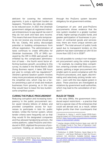deficient for covering the retirement payments, it puts a significant burden on taxpayers. Therefore, tax rates are unlikely to be reduced soon. In 2017, the Ukrainian government obliged all registered individual entrepreneurs to pay payroll tax even if they do not work and have zero income. This means that even those who temporarily do not receive any income should pay the tax. Clearly, this policy discourages potential or budding entrepreneurs from official registration. The administration of taxes continues to create difficulties for Ukrainian businesses. 27% of SMEs surveyed by the IER in 2016 said growth was inhibited by the complicated administration of taxes – the fourth worst factor affecting business growth, according to this survey. As stated in the World Bank's 2019 *Doing Business* report, it takes 328 hours per year to comply with tax regulations $38$ . Ukraine's general taxation system involves many more procedures and payments than the simplified one, which may be a factor preventing a part of small and medium businesses from growing, as in this case they would have to leave the less burdensome simplified system.

## CURING THE PUBLIC PROCUREMENT

Reducing corruption and increasing transparency in the public procurement sector saved Ukraine billions of dollars and provided competitive access for businesses to participate in bids for public tenders. Unlike the former system, where tender criteria were frequently set so that they would fit the designated companies and thus allowed handpicking winners, the online platform, called ProZorro and introduced in 2015, digitized the process of procurement. Holding an electronic auction through the ProZorro system became obligatory for all government entities.

Comparison of pre- and post-ProZorro procurements shows evidence that the new system resulted in a greater number of bids, higher savings of public funds, and greater participation of businesses in provision of contracted goods and services: now, there are more unique winners per tender<sup>39</sup>. The total amount of public funds saved due to transparent tenders on this platform has been estimated at UAH 55 bn (more than USD 2 m) in 2018<sup>40</sup>.

It is still possible to conduct non-transparent procurement using the online system – for example, by creating false competition, entering a tender with fictitious companies, splitting a larger procurement into smaller parts to avoid compliance with the ProZorro procedures, and, again, discriminating and selectively picking tender winners – even with the new digital system in place. These practices are investigated as violations by government audit authorities, which may lead to the cancellation of ten $ders<sup>41</sup>$ 

#### RULES OF TRADE

In the early 1990s, the government introduced export restrictions – a practice that led to a special class of the enterprises that could sell abroad and, as a result, obtain higher profits than their counterparts that

<sup>38</sup> The World Bank (2019) *Paying Taxes. Doing Business 2019.* Available [online]: [https://www.doingbusiness.](https://www.doingbusiness.org/en/data/exploretopics/paying-taxes) [org/en/data/exploretopics/paying-taxes](https://www.doingbusiness.org/en/data/exploretopics/paying-taxes)

<sup>39</sup> Kovalchuk, A., Kenny, C., and M. Snyder (2019) *Examining the Impact of E-Procurement in Ukraine*. Available [online]: [https://www.cgdev.org/publication/examining](https://www.cgdev.org/publication/examining-impact-e-procurement-ukraine)[impact-e-procurement-ukraine](https://www.cgdev.org/publication/examining-impact-e-procurement-ukraine)

<sup>40</sup> Interfax Ukraine (2018) *ProZorro Saves over UAH 55 bln of Budget Funds in Two Years of Operation.* Available [online]: [https://en.interfax.com.ua/news/econom](https://en.interfax.com.ua/news/economic/522386.html)[ic/522386.html](https://en.interfax.com.ua/news/economic/522386.html)

<sup>41</sup> Polishchuk, O. (2018) "ProZorro: Seven Ways to Circumvent It – and Seven Methods to Fight the Circumventions", [in]: *Ukrinform.* Available [online]: [https://](https://www.ukrinform.ua/rubric-economy/2543102-prozorro-sim-shem-obhodu-sim-metodiv-borotbi-z-tim.html) [www.ukrinform.ua/rubric-economy/2543102-prozo](https://www.ukrinform.ua/rubric-economy/2543102-prozorro-sim-shem-obhodu-sim-metodiv-borotbi-z-tim.html)[rro-sim-shem-obhodu-sim-metodiv-borotbi-z-tim.](https://www.ukrinform.ua/rubric-economy/2543102-prozorro-sim-shem-obhodu-sim-metodiv-borotbi-z-tim.html) [html](https://www.ukrinform.ua/rubric-economy/2543102-prozorro-sim-shem-obhodu-sim-metodiv-borotbi-z-tim.html) [in Ukrainian]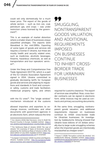could sell only domestically for a much lower price. The export of the goods of whole sectors – such as iron ore, coal, petroleum gas, and crops – was under restriction unless licensed by the government<sup>42</sup>

This is an example of market distortion where a smaller share of businesses enjoys unjustified privileges. The exports were liberalized in the mid-1990s. Exporting of some types of goods and services still requires a license in Ukraine, but these are mostly health and security related ones, such as medicines, alcoholic beverages, firearms, hazardous chemicals, as well as transportation and tour operators' servic $es^{43}$ 

Under the Deep and Comprehensive Free Trade Agreement (DCFTA), which is a part of the EU-Ukraine Association Agreement signed in 2014, Ukraine committed to gradually decreasing tariffs for European goods and services and aligning its regulations and standards in food and consumer safety, customs and trade facilitation, intellectual property rights, and others

with the EU ones<sup>44</sup>. The "single window" mechanism introduced at the customs

allowed importers and exporters to exchange invoices, certificates, and other documents with government agencies in an electronic form, which reduces the time

99 SMUGGLING, NONTRANSPARENT GOODS VALUATION, AND ADDITIONAL REQUIREMENTS IMPOSED ON BUSINESSES **CONTINUE** TO INHIBIT CROSS-BORDER TRADE FOR UKRAINIAN BUSINESSES

required for customs clearance. The export of services was simplified. Now, cross-border contracts can be signed in electronic form, while invoices may be used as contracts and primary accounting documents.

At the same time, smuggling, nontransparent goods valuation, and additional requirements imposed on businesses continue to inhibit cross-border trade for Ukrainian businesses. An investigation by Süddeutsche Zeitung showed that Ukraine loses billions of US dollars annually due to large-scale smuggling schemes when the imported goods are intentionally misclassified as cheaper ones<sup>45</sup>.

<sup>42</sup> Vox Ukraine (2016) *Bad Decisions: How to Build the*  Poorest Country in Europe. Available [online]: [https://](https://vox-ukraine.org/longreads/poor-country/index_en.html) [vox-ukraine.org/longreads/poor-country/index\\_en.html](https://vox-ukraine.org/longreads/poor-country/index_en.html)

<sup>43</sup> The Verkhovna Rada of Ukraine (2019) T*he Law of Ukraine "On Licensing of Types of Economic Activity" adopted by the Verkhovna Rada of Ukraine in 2015.* The latest edition of July 2019. Available [online]: [https://za](https://zakon.rada.gov.ua/laws/show/222-19)[kon.rada.gov.ua/laws/show/222-19](https://zakon.rada.gov.ua/laws/show/222-19) [in Ukrainian]

<sup>44</sup> European Commission (2019) *Countries and Regions. Ukraine.* Available [online]: [http://ec.europa.eu/trade/](http://ec.europa.eu/trade/policy/countries-and-regions/countries/ukraine/) [policy/countries-and-regions/countries/ukraine/](http://ec.europa.eu/trade/policy/countries-and-regions/countries/ukraine/)

<sup>45</sup> Hassel, F. (2018) "Korruption ruiniert die Ukraine", [in]: *Süddeutsche Zeitung.* Available [online]: [https://www.](https://www.sueddeutsche.de/politik/exklusiv-korruption-ruiniert-die-ukraine-1.4081856) [sueddeutsche.de/politik/exklusiv-korruption-ruiniert](https://www.sueddeutsche.de/politik/exklusiv-korruption-ruiniert-die-ukraine-1.4081856)[die-ukraine-1.4081856](https://www.sueddeutsche.de/politik/exklusiv-korruption-ruiniert-die-ukraine-1.4081856) [in German]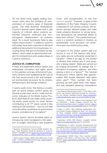On the other hand, legally trading businesses often face the problem of overestimation of customs value of imported goods. The 2018 Business Ombudsman Council's special report states that a vast majority of criticism about customs authorities concerns inefficient and nontransparent determination of customs value. As a result, businesses have to pay higher import duties<sup>46</sup>. In addition, customs authorities have been reported to demand additional documents from businesses, including those that are not foreseen by legislation, which adds an administrative burden for entrepreneurs and creates delays in customs clearance.

## JUSTICE VS. CORRUPTION

A weak and dependent justice system and widespread corruption and rights abuse in the judiciary and law enforcement prevents Ukraine from establishing the rule of law that would ensure a fair and transparent environment necessary for its citizens, entrepreneurs, and foreign investors.

It seems quite ironic that being a country with an active military conflict going on, Ukraine scored best on the "order and security" indicator of the World Justice Project's 2019 *Rule of Law Index* while receiving much lower scores on other factors contributing to its 77th place overall in the ranking of 126 countries – such as civil and criminal justice, constraints on government powers, and absence of corruption<sup>47</sup>.

Justice system reform included steps on introducing more transparency into selection of judges, launching a new Supreme Court, and reorganization of the first instance courts<sup>48</sup>. However, in spite of the objections of the Public Integrity Council, comprised of civil society activists, the selection process allowed judges who have made unlawful decisions or whose property declarations list unjustified assets to keep their offices<sup>49</sup>. The unreformed judiciary is a systemic problem in Ukraine, as questionable court decisions can undermine even successful policy steps.

Corruption in the justice system and civil service is one of the reasons why property rights are not sufficiently protected in Ukraine<sup>50</sup>. There is an app on the market in Ukraine that notifies you if your property is being raided<sup>51</sup>. Raids are carried out by forging documents to change the information in property registers, and then seizing a farm or a factory<sup>52</sup>. The General Prosecutor's Office reports that approximately 400 hostile takeovers take place every year<sup>53</sup>. Their number had been growing up until 2018 when new legislation was adopted, requiring notarizations

<sup>46</sup> Business Ombudsman Council (2018) *Systemic Report "Main Problems Faced by Business in Customs*  Sphere". Available [online]: [https://boi.org.ua/media/up](https://boi.org.ua/media/uploads/systemic_report_ii_2018/ii_2018_sytem_en.pdf)[loads/systemic\\_report\\_ii\\_2018/ii\\_2018\\_sytem\\_en.pdf](https://boi.org.ua/media/uploads/systemic_report_ii_2018/ii_2018_sytem_en.pdf)

<sup>47</sup> World Justice Project (2019) *WJP 2019 Rule of Law Index – Ukraine*. Available [online]: [http://data.worldjus](http://data.worldjusticeproject.org/#groups/UKR)[ticeproject.org/#groups/UKR](http://data.worldjusticeproject.org/#groups/UKR)

<sup>48</sup> VoxUkraine Editorial Board (2017) "Three Years of Reforms. Has Ukraine Reformed Enough for Surviving.", [in]: *Vox Ukraine*. Available [online]: [https://voxukraine.](https://voxukraine.org/longreads/three-years-of-reforms/index-en.html) [org/longreads/three-years-of-reforms/index-en.html](https://voxukraine.org/longreads/three-years-of-reforms/index-en.html)

<sup>49</sup> Shtohrin, I. (2019) "44 Judges of the Supreme Court are Dishonest – Public Integrity Council", [in]: *RadioFreeEurope/RadioLiberty.* Available [online]: [https://](https://www.radiosvoboda.org/a/29926985.html) [www.radiosvoboda.org/a/29926985.html](https://www.radiosvoboda.org/a/29926985.html) [in Ukrainian]

<sup>50</sup> Kuklin, D. (2017) "Why Ukrainian Agribusiness Cannot Prevent Property Raiding for Now", [in]: *Euromaidan Press*. Available [online]: [http://euromaidanpress.](http://euromaidanpress.com/2017/11/20/why-ukrainian-agribusiness-cannot-prevent-property-attacks-of-raiders/) [com/2017/11/20/why-ukrainian-agribusiness-cannot](http://euromaidanpress.com/2017/11/20/why-ukrainian-agribusiness-cannot-prevent-property-attacks-of-raiders/)[prevent-property-attacks-of-raiders/](http://euromaidanpress.com/2017/11/20/why-ukrainian-agribusiness-cannot-prevent-property-attacks-of-raiders/)

<sup>51</sup> Liga:Zakon (2019) *SMS Beacon*. Available [online]: <https://smsmayak.ligazakon.net/>[in Ukrainian]

<sup>52</sup> Melkozerova, V. (2017) "Activists, Entrepreneurs and Lawmakers Unite to Protect Farm Businesses from Raiders", [in]: *Kyiv Post.* Available [online]: [https://www.kyiv](https://www.kyivpost.com/business/activists-entrepreneurs-lawmakers-unite-protect-farm-businesses-raiders.html)[post.com/business/activists-entrepreneurs-lawmakers](https://www.kyivpost.com/business/activists-entrepreneurs-lawmakers-unite-protect-farm-businesses-raiders.html)[unite-protect-farm-businesses-raiders.html](https://www.kyivpost.com/business/activists-entrepreneurs-lawmakers-unite-protect-farm-businesses-raiders.html)

<sup>53</sup> Opendatabot (2019) *About Four Hundred Hostile Takeovers Take Place in Ukraine Every Year.* Available [online]: [https://opendatabot.ua/blog/336-raiders-2019](https://opendatabot.ua/blog/336-raiders-2019 ) [in Ukrainian]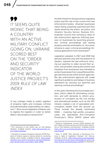99 IT SEEMS QUITE IRONIC THAT BEING A COUNTRY WITH AN ACTIVE MILITARY CONFLICT GOING ON, UKRAINE SCORED BEST ON THE "ORDER AND SECURITY" INDICATOR OF THE WORLD JUSTICE PROJECT'S 2019 RULE OF LAW INDEX

of any changes made to public registers of property rights and increases criminal and administrative responsibility for takeovers54. Most recent legislative initiatives aim to digitize the registers in order to better detect risky property transactions<sup>55</sup>.

Another threat for doing business regarding justice and the rule of law comes from law enforcement bodies. Ukrainian businesses report being unlawfully searched and their assets seized by the police, tax police, and Ukraine's Security Service. Business Ombudsman Council lists numerous cases of law enforcement agencies inflicting pressure on businesses by launching groundless criminal proceedings and seizing property and documentation or, vice versa, refusing to open criminal proceedings following applications from businesses<sup>56</sup>.

Legislation adopted in 2017 and 2018 that allowed searches only with the presence of lawyers, required the law enforcers carrying out searches to video record their actions, and prohibits seizing documents and hardware from businesses was intended to protect businesses from unjustified and illegal searches by law enforcement agencies. But law enforcement agencies still create significant problems and delays in business operations by carrying out searches and opening criminal proceedings<sup>57</sup>.

In the years following the Euromaidan protests, which called for eliminating corruption, and with demands to reform prosecution of corruption by the civil society and international lenders such as the IMF, Ukraine created a set of specialized anticorruption bodies from the ground up. These include the already mentioned NABU – investing high-profile corruption cases, the Specialized Anti-Corruption Prosecutor's Office (SAPO) tasked with

<sup>54</sup> DLF Attorneys at Law (2016) L*aw on Anti-Raiding Adopted.* Available [online]: [https://dlf.ua/en/law-on](https://dlf.ua/en/law-on-anti-raiding-adopted/)[anti-raiding-adopted/](https://dlf.ua/en/law-on-anti-raiding-adopted/)

<sup>55</sup> President of Ukraine Volodymyr Zelensky (2019) *President of Ukraine signed a decree aimed at countering*  raiding. Press release. Available [online]: [https://www.](https://www.president.gov.ua/en/news/glava-derzhavi-pidpisav-ukaz-spryamovanij-na-protidiyu-rejde-56585) [president.gov.ua/en/news/glava-derzhavi-pidpisav](https://www.president.gov.ua/en/news/glava-derzhavi-pidpisav-ukaz-spryamovanij-na-protidiyu-rejde-56585)[ukaz-spryamovanij-na-protidiyu-rejde-56585](https://www.president.gov.ua/en/news/glava-derzhavi-pidpisav-ukaz-spryamovanij-na-protidiyu-rejde-56585)

<sup>56</sup> Business Ombudsman Council (2016) *Systemic Report "Abuse of Powers by the Law Enforcement Authorities on Their Relations with Business"*. Available [online]: [https://boi.org.ua/media/uploads/sysrep\\_criminal\\_](https://boi.org.ua/media/uploads/sysrep_criminal_eng_final.pdf) [eng\\_final.pdf](https://boi.org.ua/media/uploads/sysrep_criminal_eng_final.pdf)

<sup>57</sup> Skryl, O. (2018) "Why Searches of Businesses Continue in Spite of Legislative Changes", [in]: *Delo.ua*. Available [online]: [https://delo.ua/econonomyandpoli](https://delo.ua/econonomyandpoliticsinukraine/chomu-popri-zakonodavchi-zmini-obshuki-biznesu-prodovzhujutsja-341938/)[ticsinukraine/chomu-popri-zakonodavchi-zmini-ob](https://delo.ua/econonomyandpoliticsinukraine/chomu-popri-zakonodavchi-zmini-obshuki-biznesu-prodovzhujutsja-341938/)[shuki-biznesu-prodovzhujutsja-341938/](https://delo.ua/econonomyandpoliticsinukraine/chomu-popri-zakonodavchi-zmini-obshuki-biznesu-prodovzhujutsja-341938/) [in Ukrainian]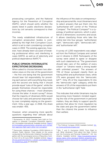prosecuting corruption, and the National Agency for the Prevention of Corruption (NAPC), which should verify whether the assets listed in public electronic declarations by civil servants correspond to their incomes.

The newly established infrastructure of corruption prosecution bodies is completed by the High Anti-Corruption Court, which is set to start considering corruption cases in 2019. The existing agencies, however, have already been accused of breaking professional ethics and interfering in cases (SAPO), as well as of selectivity and political dependence (NAPC58).

#### PUBLIC OPINION: PATERNALISTIC EXPECTATIONS DECREASING

When asked to choose between two alternative views on the role of the government – the first one being that the government should bear full responsibility for providing each person with everything they need, and the second one being that it should provide equal "rules of the game", while the people themselves should be responsible for using these chances – most Ukrainians choose the latter. A recent survey<sup>59</sup> shows that the majority of Ukrainians (61%) would choose fair rules and personal responsibility over completely relying on the government. Only a year ago, in 2018, this share was smaller: 45%.

However, when answering more specific questions regarding their attitude about the influence of the state on entrepreneurship and personal life, most Ukrainians tend to select answers that put them into the "authoritarian left" corner of the "Political Compass". The Political Compass<sup>60</sup> is a typology of political opinions, which is plotted on 2 dimensions: economic and social. It allows classifying those who take the online test into four groups: "authoritarian right", "democratic right", "democratic left", and "authoritarian left".

A survey of 1,200 respondents was adapted from the Political Compass and carried out in Ukraine in 2019. Participants of the survey were asked to agree or disagree with such statements as "The government should take care of the welfare of every citizen" or "Ukraine needs a strong leader with unlimited powers". The answers of 73% of those surveyed classify them as having leftist and authoritarian views, while 17% were grouped into the "democratic left"61. Only 2% of the respondents fit into the "democratic right" category, while the answers of 1% of the respondents put them in the "authoritarian right" field.

This indicates that while Ukrainians may be becoming more freedom-minded regarding the role of the government in personal matters, they are likely to support specific policies that allow for more regulation by the state and give the government (rather than the citizens) the power to influence their welfare.

<sup>58</sup> Romanenko, M. (2017) "Scandal Casts Light on Corruption in Ukrainian Corruption Prevention Agency", [in]: *Hromadske International*. Available [online]: [https://](https://en.hromadske.ua/posts/when-ukrainian-anti-corruption-agencies-fight-each-other-not-corruption) [en.hromadske.ua/posts/when-ukrainian-anti-corrup](https://en.hromadske.ua/posts/when-ukrainian-anti-corruption-agencies-fight-each-other-not-corruption)[tion-agencies-fight-each-other-not-corruption](https://en.hromadske.ua/posts/when-ukrainian-anti-corruption-agencies-fight-each-other-not-corruption)

<sup>59</sup> Democratic Initiatives Foundation (2019) *Reforms in Ukriane: Public Opinion.* Press release on the survey conducted by the Democratic Initiatives Foundation together with the sociological service of Razumkov Center from 13 to 20 June 2019. Available [online]: [https://](https://dif.org.ua/article/reformi-v-ukraini-gromadska-dumka-naselennya_pyaty) [dif.org.ua/article/reformi-v-ukraini-gromadska-dum](https://dif.org.ua/article/reformi-v-ukraini-gromadska-dumka-naselennya_pyaty)[ka-naselennya\\_pyaty](https://dif.org.ua/article/reformi-v-ukraini-gromadska-dumka-naselennya_pyaty) [in Ukrainian]

<sup>60</sup> The Political Compass (2019) Available [online]: [htt](https://www.politicalcompass.org/)[ps://www.politicalcompass.org/](https://www.politicalcompass.org/)

<sup>61</sup> Brik, T. and O. Krymeniuk (2019) "From Right to Left: What Ukrainians Think about the State Control over the Economy and Personal Freedoms?", [in]: *Vox Ukraine*. Available [online]: [https://voxukraine.org/uk/](https://voxukraine.org/uk/sprava-nalivo-shho-dumayut-bilshist-ukrayintsiv-pro-derzhavnij-kontrol-ekonomiki-ta-osobistih-svobod/) [sprava-nalivo-shho-dumayut-bilshist-ukrayintsiv-pro](https://voxukraine.org/uk/sprava-nalivo-shho-dumayut-bilshist-ukrayintsiv-pro-derzhavnij-kontrol-ekonomiki-ta-osobistih-svobod/)[derzhavnij-kontrol-ekonomiki-ta-osobistih-svobod/](https://voxukraine.org/uk/sprava-nalivo-shho-dumayut-bilshist-ukrayintsiv-pro-derzhavnij-kontrol-ekonomiki-ta-osobistih-svobod/) [in Ukrainian]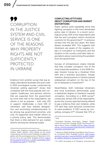99 **CORRUPTION** IN THE JUSTICE SYSTEM AND CIVIL SERVICE IS ONE OF THE REASONS WHY PROPERTY RIGHTS ARE NOT SUFFICIENTLY PROTECTED IN UKRAINE

Evidence from another survey that was already cited above illustrates this point well. A 2019 sociological survey conducted by Ukrainian polling agencies<sup>62</sup> shows that compared with the most popular anti-corruption, healthcare, and pension reforms that are expected from the government by more than half of the respondents, tax reform is not as popular – with only 13% in support. Additionally, a mere 10% of Ukrainians said they wanted deregulation and promoting entrepreneurship to be among top government priorities, and only 7% supported land market reform as a priority policy step. This demonstrates that there is little demand for pro-market reforms among the Ukrainian public.

#### CONFLICTING ATTITUDES ABOUT CORRUPTION AND MARKET **DISTORTIONS**

Public opinion polls repeatedly show that fighting corruption is the most demanded policy step in Ukraine. In a recent sociological survey, 63% of the respondents said that the anti-corruption reform should be a priority for the government $63$ . In previous surveys over the last four years, this share always exceeded 50%. This suggests that Ukrainians are aware of the negative impact of corruption on institutions and the situation in the country, and have clear expectations about overcoming this problem from the government.

Surveys of entrepreneurs clearly indicate that they consider corruption one of the most important problems. In the 2018 Foreign Investor Survey by a Ukrainian think tank and a business association, foreign investors doing business in Ukraine placed widespread corruption on the top of the list of obstacles to investment $64$ .

Nevertheless, both individual Ukrainians and local businesses demonstrate quite a substantial degree of tolerance towards corruption. According to a 2018 survey<sup>65</sup> conducted, almost 15% of the respondents across the country reported having offered to pay a bribe by their own initiative, while 17% said they used personal connections to solve problems. A 2017 survey by consulting company EY<sup>66</sup> showed that 37% of

<sup>62</sup> Democratic Initiatives Foundation (2019) *Reforms in Ukriane: Public Opinion.* Press release on the survey conducted by the Democratic Initiatives Foundation together with the sociological service of Razumkov Center from 13 to 20 June 2019. Available [online]: [https://](https://dif.org.ua/article/reformi-v-ukraini-gromadska-dumka-naselennya_pyaty) [dif.org.ua/article/reformi-v-ukraini-gromadska-dum](https://dif.org.ua/article/reformi-v-ukraini-gromadska-dumka-naselennya_pyaty)[ka-naselennya\\_pyaty](https://dif.org.ua/article/reformi-v-ukraini-gromadska-dumka-naselennya_pyaty) [in Ukrainian]

 $63$  Ibid.

<sup>64</sup> European Business Association, Dragon Capital, Center for Economic Strategy (2018) *Third Annual For*eign Investor Survey. Available [online]: [https://ces.org.](https://ces.org.ua/wp-content/uploads/2018/09/2018_investorsurveyresults_presentation.pdf) [ua/wp-content/uploads/2018/09/2018\\_investorsur](https://ces.org.ua/wp-content/uploads/2018/09/2018_investorsurveyresults_presentation.pdf)[veyresults\\_presentation.pdf](https://ces.org.ua/wp-content/uploads/2018/09/2018_investorsurveyresults_presentation.pdf)

<sup>65</sup> Ukrinform (2018) *Ukrainians Said Where They Encoun*ter Corruption Most. Available [online]: [https://www.](https://www.ukrinform.ua/rubric-society/2545529-ukrainci-skazali-de-najbilse-stikautsa-z-korupcieu.html) [ukrinform.ua/rubric-society/2545529-ukrainci-skazali](https://www.ukrinform.ua/rubric-society/2545529-ukrainci-skazali-de-najbilse-stikautsa-z-korupcieu.html)[de-najbilse-stikautsa-z-korupcieu.html](https://www.ukrinform.ua/rubric-society/2545529-ukrainci-skazali-de-najbilse-stikautsa-z-korupcieu.html) [in Ukrainian]

<sup>66</sup> EY (2017) *According to EY Research, Executives Are*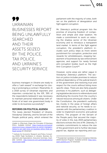# 99 UKRAINIAN BUSINESSES REPORT BEING UNLAWFULLY SEARCHED AND THEIR ASSETS SEIZED BY THE POLICE, TAX POLICE, AND UKRAINE'S SECURITY SERVICE

business managers in Ukraine are ready to offer a "cash reward" in exchange for closing or prolonging a contract. Meanwhile, in a 2018 survey of Ukrainian exporters and importers conducted by the IER, 39% of the respondents believed it was necessary to maintain personal relationships with officials of at least one government body in order to do business successfully<sup>67</sup>.

## REFORMS ON POLITICAL AGENDA

The newly elected President of Ukraine, Volodymyr Zelensky, and his Servant of the People political party, which entered the parliament with the majority of votes, both ran on the platform of deregulation and fight against corruption.

Mr. Zelensky's political program lists the promise of ensuring freedom of competition and simple and clear taxation. He made a commitment to work on reducing the shadow sector of the Ukrainian economy and to introduce a transparent land market. In terms of the fight against corruption, the president's platform includes such policy steps as more severe punishment for corruption, protection and rewards for whistleblowers, stopping harassment of businesses by law enforcement agencies, and support for newly formed anti-corruption bodies (such as the High Anti-Corruption Court)<sup>68</sup>.

However, some areas are rather vague in Volodymyr Zelensky's platform. The section on justice includes promises to reduce political dependency of the judicial branch of the government and restoring trust and respect for the courts without listing more specific steps. There are also fairly populist promises in his platform, such as delegating legislative decisions to referendums and distributing the income from the country's natural resources among all citizens. Under the Constitution, the president's authority lies mostly in the areas of foreign affairs and national security, so he needs to cooperate with the parliamentary coalition in order to implement economic and judicial reforms. The program of the Servant of the People party that secured the majority of votes in the July 2019 parliamentary elections echoes the one of Mr. Zelensky. It contains commitments to reduce the size of the government and to further decrease payroll tax, digitize tax reporting and cus-

*Unable to Effectively Shape the Principles Of Business Ethics.* Available [online]: [https://www.ey.com/ua/uk/](https://www.ey.com/ua/uk/newsroom/news-releases/news-ey-senior-managers-failing-to-set-right-tone-on-business-ethics-finds-ey-fraud-survey) [newsroom/news-releases/news-ey-senior-managers](https://www.ey.com/ua/uk/newsroom/news-releases/news-ey-senior-managers-failing-to-set-right-tone-on-business-ethics-finds-ey-fraud-survey)[failing-to-set-right-tone-on-business-ethics-finds-ey](https://www.ey.com/ua/uk/newsroom/news-releases/news-ey-senior-managers-failing-to-set-right-tone-on-business-ethics-finds-ey-fraud-survey)[fraud-survey](https://www.ey.com/ua/uk/newsroom/news-releases/news-ey-senior-managers-failing-to-set-right-tone-on-business-ethics-finds-ey-fraud-survey) [in Ukrainian]

<sup>67</sup> Institute for Economic Research and Policy Consulting (2019) *Trade Facilitation in Ukraine: Business Assessment and Expectations. Executive Summary.* Available [online]: [http://www.ier.com.ua/en/publications/](http://www.ier.com.ua/en/publications/reports?pid=6168) [reports?pid=6168](http://www.ier.com.ua/en/publications/reports?pid=6168)

<sup>68</sup> Presidential Candidate of Ukraine Volodymyr Zelensky (2019) *Election Program.* Available [online]: [https://pro](https://program.ze2019.com/)[gram.ze2019.com/](https://program.ze2019.com/) [in Ukrainian]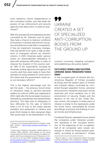toms clearance, ensure independence of anti-corruption bodies, and take away the powers of law enforcement and security agencies that allow them to obstruct businesses69.

With the presidential and legislative powers controlled by Mr. Zelensky and his party, they have a chance to improve conditions for business in Ukraine and remove corruption and distortions that affect competition. If they do implement necessary changes, they will benefit from quite a high acceptance of unpopular reforms by Ukraine's citizens. In 2019, Ukrainian public opinion shows an unprecedented willingness to deal with temporary difficulties in order to improve the situation in the country overall. 59% of the respondents surveyed by Ukrainian polling agencies throughout the country said they were ready to have their standard of living lowered for some time if this meant that the government could carry out necessary reforms<sup>70</sup>.

This is the highest percentage over the last five years – the previous record share of Ukrainians ready to sacrifice personal welfare for reforms (44%) was registered in 2014, right after the Euromaidan revolution, followed by presidential and parliamentary elections. The high level of willingness to face difficulties for the sake of reforms lends a lot of trust to the newly elected president and parliament of Ukraine and gives them leeway to take unpopular steps that would lead to the liberalization of the

# 99 UKRAINE CREATED A SET OF SPECIALIZED ANTI-CORRUPTION BODIES FROM THE GROUND UP

country's economy, stopping corruption, and establishing a fair justice system.

## OCCUPIED CRIMEA AND EASTERN UKRAINE: BASIC FREEDOMS TAKEN AWAY

In the occupied parts of Ukraine (the Autonomous Republic of Crimea occupied by Russia and the eastern parts of Donets and Luhansk oblasts controlled by combined Russian-separatist forces), personal and economic freedoms have been strictly restricted and local residents live in the environment of security threats and the absence of the rule of law. Under Russian control, the situation in these parts of Ukraine is similar to the repressions under the Soviet Union, exacerbated by torture and killings of activists and shelling of civilian homes and infrastructure.

Combined Russian-separatist forces seized the companies under Ukrainian jurisdiction operating in the occupied territories. At the beginning of the occupation, half of all companies were closed, destroyed or seized by Russia-backed separatists, according to estimations $71$ . Private

<sup>69</sup> Servant of the People (2019) *Election Program.* Available [online]: <https://sluga-narodu.com/program> [in Ukrainian]

<sup>70</sup> Democratic Initiatives Foundation (2019) *Reforms in Ukraine: Public Opinion.* Press release on the survey conducted by the Democratic Initiatives Foundation together with the sociological service of Razumkov Center from 13 to 20 June 2019. Available [online]: [https://](https://dif.org.ua/article/reformi-v-ukraini-gromadska-dumka-naselennya_pyaty) [dif.org.ua/article/reformi-v-ukraini-gromadska-dum](https://dif.org.ua/article/reformi-v-ukraini-gromadska-dumka-naselennya_pyaty)[ka-naselennya\\_pyaty](https://dif.org.ua/article/reformi-v-ukraini-gromadska-dumka-naselennya_pyaty) [in Ukrainian]

<sup>71</sup> Bird, M., Vdovii, L., and Y. Tkachenko, (2015) "The Great Looting of Donbass", [in]: *EUobserver.* Available [online]: <https://euobserver.com/investigations/131428>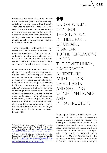businesses are being forced to register under the authority of the Russia-led separatists and to pay taxes to their budgets. After Ukraine prohibited trade across the conflict line, the Russia-led separatists took over even more companies that were still operating on the uncontrolled territory, including coal mines, factories, energy companies, as well as transport and telecommunication companies<sup>72</sup>.

The war waged by combined Russian-separatist forces cut away the occupied territories in the eastern Ukraine from transport and power infrastructure, while local businesses lost suppliers and buyers from the rest of Ukraine and are compelled to trade with the only available market – Russia.

All Ukrainian and international banks have closed their branches on the occupied territories, while Russia-led separatists created their own bank, which is the only option in these areas. Russia has consolidated its occupation in the eastern parts of Ukraine by financing pensions and public sector salaries<sup>73</sup>, introducing the Russian currency, and issuing Russian passports for Ukrainian citizens that live on the occupied territories. Active conflict is continuing in this area, so many homes, business properties, schools, hotels, and other buildings have been hit by shelling or destroyed completely – such as the Donetsk airport, which was destroyed by combined Russian-separatist forces back in 2015.

99 UNDER RUSSIAN CONTROL, THE SITUATION IN THESE PARTS OF UKRAINE IS SIMILAR TO THE REPRESSIONS UNDER THE SOVIET UNION, EXACERBATED BY TORTURE AND KILLINGS OF ACTIVISTS AND SHELLING OF CIVILIAN HOMES AND INFRASTRUCTURE

In occupied Crimea, which Russia recognizes as its territory, the businesses are forced to register under the Russian law, while public officials are required to take Russian citizenship in order to keep their jobs. Minus the war, the situation with civil and political liberties in Crimea is comparable to the one in the occupied eastern territories of Ukraine. As reported by the United Nations (UN), the Russian authorities in Crimea commit numerous human rights

<sup>72</sup> Zoria, Y. (2017) "What Assets Did Russia's Puppet Republics Seize from Ukraine? Full List", [in]: *Euromaid*an Press. Available [online]: [http://euromaidanpress.](http://euromaidanpress.com/2017/03/04/stolen-ukrainian-assets-in-donbas/) [com/2017/03/04/stolen-ukrainian-assets-in-donbas/](http://euromaidanpress.com/2017/03/04/stolen-ukrainian-assets-in-donbas/)

<sup>73</sup> Zverev, A. (2016) "Moscow Is Bankrolling Ukraine Rebels: Ex-Separatist Official", [in]: *Reuters*. Available [online]: [https://www.reuters.com/article/us-ukraine](https://www.reuters.com/article/us-ukraine-crisis-separatists/moscow-is-bankrolling-ukraine-rebels-ex-separatist-official-idUSKCN1251UQ)[crisis-separatists/moscow-is-bankrolling-ukraine-re](https://www.reuters.com/article/us-ukraine-crisis-separatists/moscow-is-bankrolling-ukraine-rebels-ex-separatist-official-idUSKCN1251UQ)[bels-ex-separatist-official-idUSKCN1251UQ](https://www.reuters.com/article/us-ukraine-crisis-separatists/moscow-is-bankrolling-ukraine-rebels-ex-separatist-official-idUSKCN1251UQ)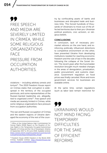99 FREE SPEECH AND MEDIA ARE SEVERELY LIMITED IN CRIMEA, WHILE SOME RELIGIOUS ORGANIZATIONS FACE PRESSURE FROM **OCCUPATION** AUTHORITIES.

violations – including arbitrary arrests and torture74. The 2019 Freedom House report on Crimea states that corruption is widespread in the territory of the occupied peninsula, and some representatives of the Russian-backed leadership are, allegedly, tied to organized crime<sup>75</sup>. Free speech and media are severely limited in Crimea, while some religious organizations face pressure from occupation authorities.

The war and Russian occupation of Crimea and the eastern regions of Ukraine damaged the economy of the rest of the country by confiscating assets of banks and businesses and disrupted trade and business links. This forced hundreds of thousands of Ukrainians to move out of the affected territories due to their pro-Ukrainian political positions, civic activism, or religious beliefs.

#### **CONCLUSIONS**

In conclusion, lack of necessary promarket reforms on the one hand, and reinforcing politically influenced distortions to competitive environment on the other, have prevented Ukraine from developing institutions needed for reaching economic freedom and the rule of law in the decades following the collapse of the Soviet Union. The recent years after the Euromaidan revolution brought much needed changes in the areas of deregulation, privatization, public procurement, and customs clearance. Government regulation on food prices was finally canceled. More and more government services for businesses are available online.

At the same time, certain regulations (such as labor law) remain restrictive for

99 UKRAINIANS WOULD NOT MIND FACING TEMPORARY **DIFFICULTIES** FOR THE SAKE OF EFFICIENT REFORMS

<sup>74</sup> Office of the United Nations High Commissioner for Human Rights (2018) Report on the Situation of Human Rights in the Temporarily Occupied Autonomous Republic of Crimea and the City of Sevastopol, Ukraine, 13 September 2017 to 30 June 2018. Available [online]: [https://www.ohchr.org/Documents/Countries/UA/](https://www.ohchr.org/Documents/Countries/UA/CrimeaThematicReport10Sept2018_EN.pdf) [CrimeaThematicReport10Sept2018\\_EN.pdf](https://www.ohchr.org/Documents/Countries/UA/CrimeaThematicReport10Sept2018_EN.pdf)

<sup>75</sup> Freedom House (2019) *Freedom in the World 2019. Crimea.* Available [online]: [https://freedomhouse.org/](https://freedomhouse.org/report/freedom-world/2019/crimea) [report/freedom-world/2019/crimea](https://freedomhouse.org/report/freedom-world/2019/crimea)